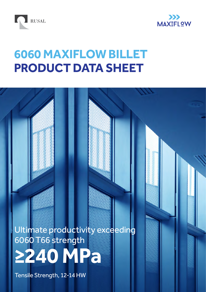



# **6060 MAXIFLOW BILLET PRODUCT DATA SHEET**

Ultimate productivity exceeding 6060 T66 strength



Tensile Strength, 12-14 HW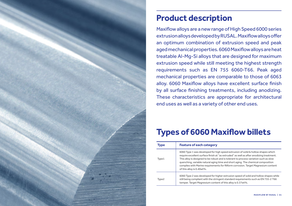|  | <b>Type</b> | <b>Feature of each category</b>                                                                                                                                                                                                  |  |
|--|-------------|----------------------------------------------------------------------------------------------------------------------------------------------------------------------------------------------------------------------------------|--|
|  | Type1       | 6060 Type 1 was developed for high<br>require excellent surface finish at "a<br>This alloy is designed to be robust a<br>quenching, variable natural aging tir<br>complies with Marine requirements<br>of this alloy is 0.40wt%. |  |
|  | Type2       | 6060 Type 2 was developed for high<br>still being compliant with the string<br>temper. Target Magnesium content                                                                                                                  |  |

60060 speed extrusion of solid & hollow shapes which as extruded" as well as after anodizing treatment. and is tolerant to process variation such as slow me and short aging. The chemical composition for filiform corrosion. Target Magnesium content

ner extrusion speed of solid and hollow shapes while ent standard requirements such as EN 755-2 T66 of this alloy is 0.37wt%.



# **Product description**

Maxiflow alloys are a new range of High Speed 6000 series extrusion alloys developed by RUSAL. Maxiflow alloys offer an optimum combination of extrusion speed and peak aged mechanical properties. 6060 Maxiflow alloys are heat treatable Al-Mg-Si alloys that are designed for maximum extrusion speed while still meeting the highest strength requirements such as EN 755 6060-T66. Peak aged mechanical properties are comparable to those of 6063 alloy. 6060 Maxiflow alloys have excellent surface finish by all surface finishing treatments, including anodizing. These characteristics are appropriate for architectural end uses as well as a variety of other end uses.

# **Types of 6060 Maxiflow billets**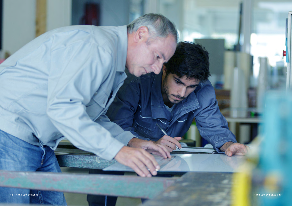**02 | MAXIFLOW BY RUSAL NAXIFLOW BY RUSAL | 03**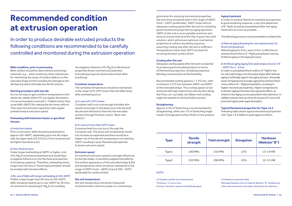## **Recommended condition at extrusion operation**

#### **Billet condition, prior to processing**

Billet surface should be clean without any foreign materials, e.g. sand, mud & any other substances, for minimizing the cause of surface defects on the extruded shape and for avoiding the damage to the die bearing which will make the die life shorter.

#### **Starting procedure with new die**

As it is not easy to get a uniform temperature in the whole die, ideally within 5°C, by regular die heaters, it is recommended to extrude 1-2 billets hotter than usual (480-500°C) for making the die temp uniform. Then start the extrusion operation with regular preheat temp & extrusion speed.

Under longer preheating at 400°C or higher, a lot of ß-Mg $_{\rm 2}$ Si would be precipitated and would have a negative influence on the Mechanical properties & Anodizing response. Therefore, preheating times longer than 20 mins in Tunnel type preheater should be avoided with the best efforts.

### c) Re-use of billet with longer preheating at 350-450°C

If billet is kept longer than 60 mins at 350-450°C, billet should be heated up to over 500°C for 30 mins at minimum for dissolving ß-Mg $_{\rm 2}$ Si, for avoiding

#### **Preheating with Induction heater or gas-fired furnace**

#### a) Induction heater

the negative influence of ß-Mg $_{\rm 2}$ Si to Mechanical properties (lower mechanical properties) & Anodizing response (dull surface finish after anodizing).

Prior to extrusion, billet should be preheated to approx.420-480⁰C, depending upon the die shape with the taper heat of 0.5°C/cm.( Front temp should be higher than Back-end )

#### b) Gas-fired furnace

#### **Container temperature**

The container temperature should be maintained in the range of 25-50°C lower than the billet temp after preheating since:

#### a) In case of 0-25°C lower:

Container wall is not cool enough and billet skin would not be kept in the dead zone/ into the butt discard and will tend to flow into the extruded product through the back-end as "Back-end defects".

#### b) In case of more than 50°C lower:

Recommended cooling speed is > 1.5°C/sec, with a minimum 1.0 °C/sec between 500°C and 200°C at the extruded shape. This cooling speed can be achieved with high volume/low velocity fans along the Press run-out table, but Water mist cooling might be needed on thicker/hollow section.

Excessive heat loss can occur through the Container wall. The press exit temperature would not increase as expected and there would be a higher risk of the die exit temperature not reaching 500°C resulting in poor Mechanical properties & slower extrusion speed.

#### **Extrusion speed**

As maximum extrusion speed is strongly influenced by the Die shape, it should be judged/controlled by the surface appearance of the extruded shape & Die exit temperature which should be maintained in the range of 500°C (min) – 580°C (max) & 500 - 550°C (preferable for surface finish).

#### **Die exit temperature**

Die exit temperature should be measured/ monitored with a thermocouple or a contactless

In order to produce desirable extruded products the following conditions are recommended to be carefully controlled and monitored during the extrusion operation

pyrometer for ensuring mechanical properties. Die exit temp should be kept in the range of 500°C (min) –  $550^{\circ}$ C (preferable),  $580^{\circ}$ C (max) with an adequate cooling speed after die exit for achieving good mechanical properties by aging operation. 500°C at Die exit is an acceptable minimum exit temp to ensure that all of the Mg-Si goes into solid solution, which will ensure optimum mechanical properties & uniform anodizing response assuming cooling rate after die exit is sufficient. Temperatures lower than 550°C are best for ensuring the best surface finish.

#### **Cooling after Die exit**

Adequate cooling speed after Die exit is essential to produce good extruded products in terms of Mechanical properties, Anodizing response, Bending characteristics & Machinability.

#### **Straightening**

Approx. 0.5% of Stretching is recommended for Straightening, while over 1% of Stretching might result in Orange peel surface finish on the product.

#### **Aging treatment**

In order to achieve Maximum mechanical properties & good anodizing response, a very fine dispersion of ß" MgSi should be precipitated after the aging treatment as much as possible.

The following process is recommended to achieve this:

#### a) Natural aging (keeping As-extruded product at Room temperature)

Natural aging for 8 hrs, even 24 hrs, is effective to achieve fine/uniform ß"-MgSi precipitation during Artificial aging in the Aging furnace.

#### b) Artificial aging (aging Extruded shape around 170 - 200⁰C for 2 - 8 hrs)

In order to precipitate fine & uniform ß" MgSi in the As-extruded shape, the Extruded shape after Natural aging is artificially aged in the aging furnace. Generally lower temperatures & longer aging time achieve finer/ more uniform ß"- MgSi precipitation, resulting in higher mechanical properties. Higher temperatures & shorter aging times have the opposite effect, as shown in the Aging curves attached in the reference. In addition slower heat up times (in excess of 1 hour) will promote higher peak aged strengths.

#### **Typical Mechanical properties for Type 1 & 2**

Following table shows typical mechanical properties with Type 1 & 2 billets in peak aged condition.

(1) Samples used for the measurement Thickness: 3.2 mm or less Process: Forced air-quench and artificially aged.

#### NOTE:

| <b>Type</b>       | <b>Tensile</b><br>strength | <b>Yield strength</b> | <b>Elongation</b> | <b>Hardness</b><br>(Webster"B") |
|-------------------|----------------------------|-----------------------|-------------------|---------------------------------|
| Type1             | 240 MPa                    | 210 MPa               | 13%               | 13-14 HW                        |
| Type <sub>2</sub> | 230 MPa                    | 200 MPa               | 13%               | 12-13 HW                        |

- (2) Hardness conversion table
- Although Hardness chart is made by Webster "B", Hardness by other scale are shown in the table, attached in the reference.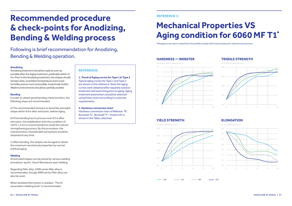# **Recommended procedure & check-points for Anodizing, Bending & Welding process**

#### **Anodizing**

Anodizing treatment should be made as soon as possible after the Aging treatment, preferably within 12 hrs. Prior to the Anodizing treatment, the shapes should be kept clean, at ambient temperature and in a low humidity area as much as possible. In particular Acidic/ Alkaline environments should be carefully avoided.

#### **Bending**

In order to obtain good bending characteristics, the following steps are recommended.

a) The recommended timing is to bend the extruded shape within 8 hrs after extrusion, before Aging

b) If the bending has to process over 8 hrs after extrusion, the stabilization with the condition of 165°C x 2 hrs is recommended to avoid the natural strengthening process. By this procedure, the characteristics of predicable spring back would be obtained at any time.

c) After bending, the shapes can be aged to obtain the maximum mechanical properties by normal artificial aging.

#### **Welding**

Al extruded shapes can be joined by various welding procedure, eg Arc, Gas & Resistance spot welding.

Regarding Filler alloy, 5000 series filler alloy is recommended, though 4000 series Filler alloy can also be used.

When detailed information is needed, "The Al association welding book" is recommended.

Following is brief recommendation for Anodizing, Bending & Welding operation.

### **REFERENCE:**

**1. Trend of Aging curves for Type 1 & Type 2** Typical aging curves for Type 1 and Type 2 are shown in the reference. Note the aging curves were obtained after separate solution treatment and quenching prior to aging. Aging treatment parameters should be selected using these charts according to customer requirements.

#### **2. Hardness conversion chart**

Hardness conversion chart of Webster "B", Rockwell "E", Rockwell "F", Vickers HV is shown in the Table, attached.

# **Mechanical Properties VS Aging condition for 6060 MF T1\***

#### **REFERENCE 1:**

#### **HARDNESS — WEBSTER**

### **YIELD STRENGTH ELONGATION**

### **TENSILE STRENGTH**











\*All aging curves were created from the profiles sample which were produced in real extrusion process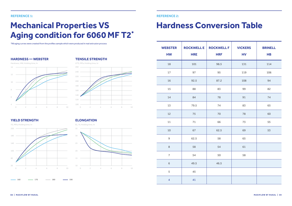### **Hardness Conversion Table**

#### **REFERENCE 2:**

| <b>WEBSTER</b><br><b>HW</b> | <b>ROCKWELL E</b><br><b>HRE</b> | <b>ROCKWELL F</b><br><b>HRF</b> | <b>VICKERS</b><br><b>HV</b> | <b>BRINELL</b><br><b>HB</b> |
|-----------------------------|---------------------------------|---------------------------------|-----------------------------|-----------------------------|
| 18                          | 101                             | 98.5                            | 131                         | 114                         |
| 17                          | 97                              | 95                              | 119                         | 106                         |
| 16                          | 92.5                            | 87.2                            | 108                         | 94                          |
| 15                          | 88                              | 83                              | 99                          | 82                          |
| 14                          | 84                              | 78                              | 91                          | 74                          |
| 13                          | 79.5                            | 74                              | 83                          | 65                          |
| 12                          | 75                              | 70                              | 78                          | 60                          |
| 11                          | 71                              | 66                              | 73                          | 55                          |
| 10                          | 67                              | 62.5                            | 69                          | 53                          |
| $\overline{9}$              | 62.5                            | 58                              | 65                          |                             |
| $\,8\,$                     | 58                              | 54                              | 61                          |                             |
| $\overline{7}$              | 54                              | 50                              | 58                          |                             |
| $\,$ 6 $\,$                 | 49.5                            | 46.5                            |                             |                             |
| 5                           | 45                              |                                 |                             |                             |
| $\overline{4}$              | 41                              |                                 |                             |                             |

# **Mechanical Properties VS Aging condition for 6060 MF T2\***

#### **REFERENCE 1:**



**HARDNESS — WEBSTER**

### **YIELD STRENGTH ELONGATION**



### **TENSILE STRENGTH**





\*All aging curves were created from the profiles sample which were produced in real extrusion process